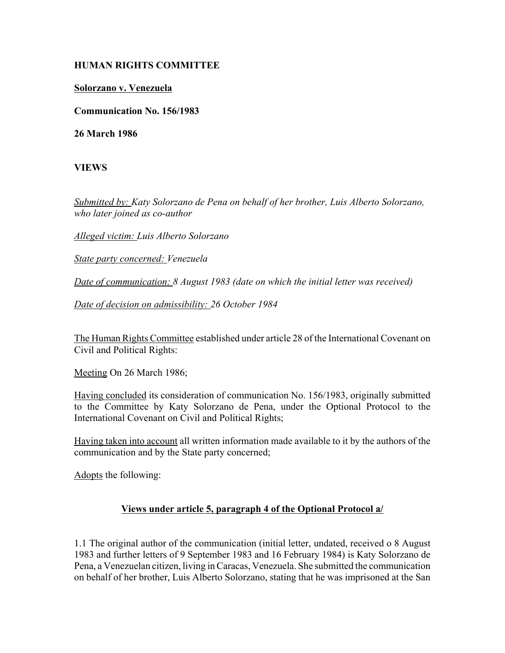# **HUMAN RIGHTS COMMITTEE**

## **Solorzano v. Venezuela**

**Communication No. 156/1983**

**26 March 1986**

**VIEWS**

*Submitted by: Katy Solorzano de Pena on behalf of her brother, Luis Alberto Solorzano, who later joined as co-author* 

*Alleged victim: Luis Alberto Solorzano* 

*State party concerned: Venezuela* 

*Date of communication: 8 August 1983 (date on which the initial letter was received)* 

*Date of decision on admissibility: 26 October 1984* 

The Human Rights Committee established under article 28 of the International Covenant on Civil and Political Rights:

Meeting On 26 March 1986;

Having concluded its consideration of communication No. 156/1983, originally submitted to the Committee by Katy Solorzano de Pena, under the Optional Protocol to the International Covenant on Civil and Political Rights;

Having taken into account all written information made available to it by the authors of the communication and by the State party concerned;

Adopts the following:

#### **Views under article 5, paragraph 4 of the Optional Protocol a/**

1.1 The original author of the communication (initial letter, undated, received o 8 August 1983 and further letters of 9 September 1983 and 16 February 1984) is Katy Solorzano de Pena, a Venezuelan citizen, living in Caracas, Venezuela. She submitted the communication on behalf of her brother, Luis Alberto Solorzano, stating that he was imprisoned at the San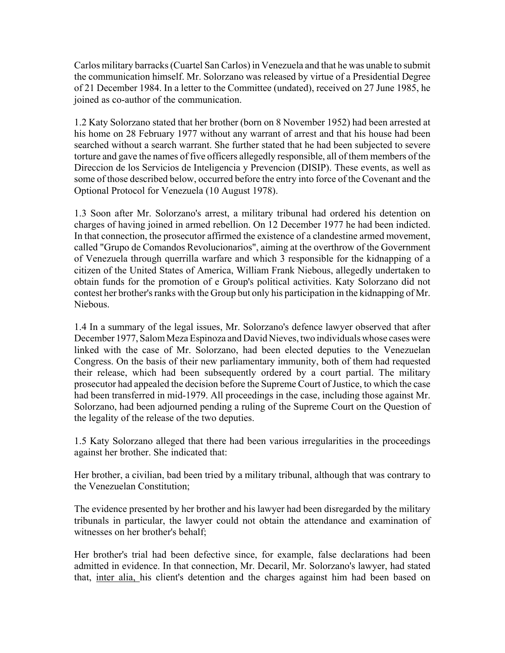Carlos military barracks (Cuartel San Carlos) in Venezuela and that he was unable to submit the communication himself. Mr. Solorzano was released by virtue of a Presidential Degree of 21 December 1984. In a letter to the Committee (undated), received on 27 June 1985, he joined as co-author of the communication.

1.2 Katy Solorzano stated that her brother (born on 8 November 1952) had been arrested at his home on 28 February 1977 without any warrant of arrest and that his house had been searched without a search warrant. She further stated that he had been subjected to severe torture and gave the names of five officers allegedly responsible, all of them members of the Direccion de los Servicios de Inteligencia y Prevencion (DISIP). These events, as well as some of those described below, occurred before the entry into force of the Covenant and the Optional Protocol for Venezuela (10 August 1978).

1.3 Soon after Mr. Solorzano's arrest, a military tribunal had ordered his detention on charges of having joined in armed rebellion. On 12 December 1977 he had been indicted. In that connection, the prosecutor affirmed the existence of a clandestine armed movement, called "Grupo de Comandos Revolucionarios", aiming at the overthrow of the Government of Venezuela through querrilla warfare and which 3 responsible for the kidnapping of a citizen of the United States of America, William Frank Niebous, allegedly undertaken to obtain funds for the promotion of e Group's political activities. Katy Solorzano did not contest her brother's ranks with the Group but only his participation in the kidnapping of Mr. Niebous.

1.4 In a summary of the legal issues, Mr. Solorzano's defence lawyer observed that after December 1977, Salom Meza Espinoza and David Nieves, two individuals whose cases were linked with the case of Mr. Solorzano, had been elected deputies to the Venezuelan Congress. On the basis of their new parliamentary immunity, both of them had requested their release, which had been subsequently ordered by a court partial. The military prosecutor had appealed the decision before the Supreme Court of Justice, to which the case had been transferred in mid-1979. All proceedings in the case, including those against Mr. Solorzano, had been adjourned pending a ruling of the Supreme Court on the Question of the legality of the release of the two deputies.

1.5 Katy Solorzano alleged that there had been various irregularities in the proceedings against her brother. She indicated that:

Her brother, a civilian, bad been tried by a military tribunal, although that was contrary to the Venezuelan Constitution;

The evidence presented by her brother and his lawyer had been disregarded by the military tribunals in particular, the lawyer could not obtain the attendance and examination of witnesses on her brother's behalf;

Her brother's trial had been defective since, for example, false declarations had been admitted in evidence. In that connection, Mr. Decaril, Mr. Solorzano's lawyer, had stated that, inter alia, his client's detention and the charges against him had been based on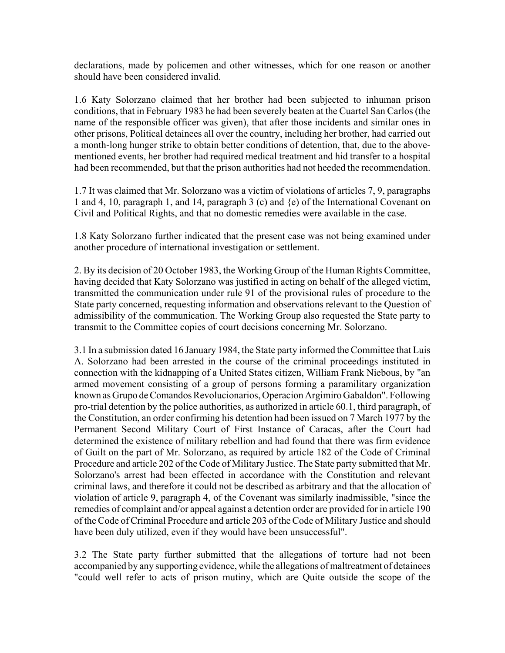declarations, made by policemen and other witnesses, which for one reason or another should have been considered invalid.

1.6 Katy Solorzano claimed that her brother had been subjected to inhuman prison conditions, that in February 1983 he had been severely beaten at the Cuartel San Carlos (the name of the responsible officer was given), that after those incidents and similar ones in other prisons, Political detainees all over the country, including her brother, had carried out a month-long hunger strike to obtain better conditions of detention, that, due to the abovementioned events, her brother had required medical treatment and hid transfer to a hospital had been recommended, but that the prison authorities had not heeded the recommendation.

1.7 It was claimed that Mr. Solorzano was a victim of violations of articles 7, 9, paragraphs 1 and 4, 10, paragraph 1, and 14, paragraph 3 (c) and {e) of the International Covenant on Civil and Political Rights, and that no domestic remedies were available in the case.

1.8 Katy Solorzano further indicated that the present case was not being examined under another procedure of international investigation or settlement.

2. By its decision of 20 October 1983, the Working Group of the Human Rights Committee, having decided that Katy Solorzano was justified in acting on behalf of the alleged victim, transmitted the communication under rule 91 of the provisional rules of procedure to the State party concerned, requesting information and observations relevant to the Question of admissibility of the communication. The Working Group also requested the State party to transmit to the Committee copies of court decisions concerning Mr. Solorzano.

3.1 In a submission dated 16 January 1984, the State party informed the Committee that Luis A. Solorzano had been arrested in the course of the criminal proceedings instituted in connection with the kidnapping of a United States citizen, William Frank Niebous, by "an armed movement consisting of a group of persons forming a paramilitary organization known as Grupo de Comandos Revolucionarios, Operacion Argimiro Gabaldon". Following pro-trial detention by the police authorities, as authorized in article 60.1, third paragraph, of the Constitution, an order confirming his detention had been issued on 7 March 1977 by the Permanent Second Military Court of First Instance of Caracas, after the Court had determined the existence of military rebellion and had found that there was firm evidence of Guilt on the part of Mr. Solorzano, as required by article 182 of the Code of Criminal Procedure and article 202 of the Code of Military Justice. The State party submitted that Mr. Solorzano's arrest had been effected in accordance with the Constitution and relevant criminal laws, and therefore it could not be described as arbitrary and that the allocation of violation of article 9, paragraph 4, of the Covenant was similarly inadmissible, "since the remedies of complaint and/or appeal against a detention order are provided for in article 190 of the Code of Criminal Procedure and article 203 of the Code of Military Justice and should have been duly utilized, even if they would have been unsuccessful".

3.2 The State party further submitted that the allegations of torture had not been accompanied by any supporting evidence, while the allegations of maltreatment of detainees "could well refer to acts of prison mutiny, which are Quite outside the scope of the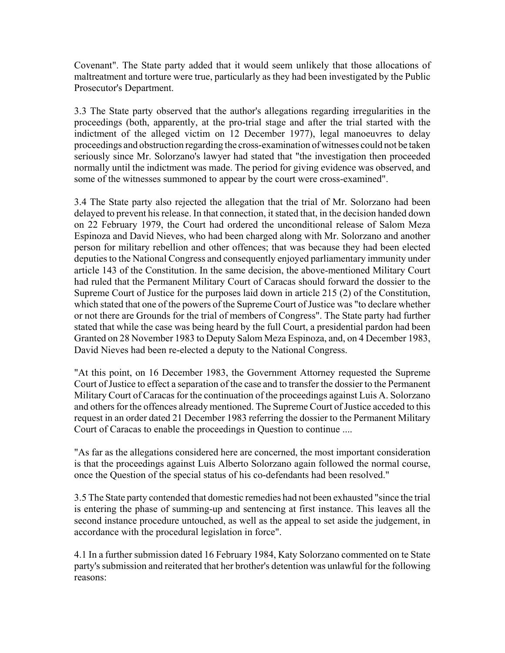Covenant". The State party added that it would seem unlikely that those allocations of maltreatment and torture were true, particularly as they had been investigated by the Public Prosecutor's Department.

3.3 The State party observed that the author's allegations regarding irregularities in the proceedings (both, apparently, at the pro-trial stage and after the trial started with the indictment of the alleged victim on 12 December 1977), legal manoeuvres to delay proceedings and obstruction regarding the cross-examination of witnesses could not be taken seriously since Mr. Solorzano's lawyer had stated that "the investigation then proceeded normally until the indictment was made. The period for giving evidence was observed, and some of the witnesses summoned to appear by the court were cross-examined".

3.4 The State party also rejected the allegation that the trial of Mr. Solorzano had been delayed to prevent his release. In that connection, it stated that, in the decision handed down on 22 February 1979, the Court had ordered the unconditional release of Salom Meza Espinoza and David Nieves, who had been charged along with Mr. Solorzano and another person for military rebellion and other offences; that was because they had been elected deputies to the National Congress and consequently enjoyed parliamentary immunity under article 143 of the Constitution. In the same decision, the above-mentioned Military Court had ruled that the Permanent Military Court of Caracas should forward the dossier to the Supreme Court of Justice for the purposes laid down in article 215 (2) of the Constitution, which stated that one of the powers of the Supreme Court of Justice was "to declare whether or not there are Grounds for the trial of members of Congress". The State party had further stated that while the case was being heard by the full Court, a presidential pardon had been Granted on 28 November 1983 to Deputy Salom Meza Espinoza, and, on 4 December 1983, David Nieves had been re-elected a deputy to the National Congress.

"At this point, on 16 December 1983, the Government Attorney requested the Supreme Court of Justice to effect a separation of the case and to transfer the dossier to the Permanent Military Court of Caracas for the continuation of the proceedings against Luis A. Solorzano and others for the offences already mentioned. The Supreme Court of Justice acceded to this request in an order dated 21 December 1983 referring the dossier to the Permanent Military Court of Caracas to enable the proceedings in Question to continue ....

"As far as the allegations considered here are concerned, the most important consideration is that the proceedings against Luis Alberto Solorzano again followed the normal course, once the Question of the special status of his co-defendants had been resolved."

3.5 The State party contended that domestic remedies had not been exhausted "since the trial is entering the phase of summing-up and sentencing at first instance. This leaves all the second instance procedure untouched, as well as the appeal to set aside the judgement, in accordance with the procedural legislation in force".

4.1 In a further submission dated 16 February 1984, Katy Solorzano commented on te State party's submission and reiterated that her brother's detention was unlawful for the following reasons: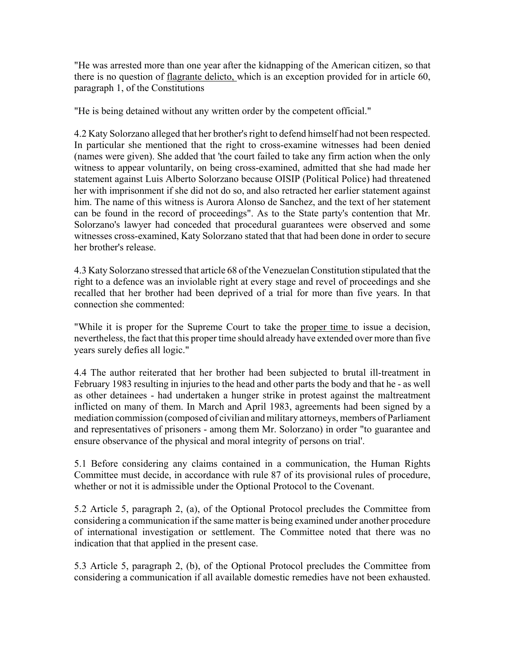"He was arrested more than one year after the kidnapping of the American citizen, so that there is no question of flagrante delicto, which is an exception provided for in article 60, paragraph 1, of the Constitutions

"He is being detained without any written order by the competent official."

4.2 Katy Solorzano alleged that her brother's right to defend himself had not been respected. In particular she mentioned that the right to cross-examine witnesses had been denied (names were given). She added that 'the court failed to take any firm action when the only witness to appear voluntarily, on being cross-examined, admitted that she had made her statement against Luis Alberto Solorzano because OISIP (Political Police) had threatened her with imprisonment if she did not do so, and also retracted her earlier statement against him. The name of this witness is Aurora Alonso de Sanchez, and the text of her statement can be found in the record of proceedings". As to the State party's contention that Mr. Solorzano's lawyer had conceded that procedural guarantees were observed and some witnesses cross-examined, Katy Solorzano stated that that had been done in order to secure her brother's release.

4.3 Katy Solorzano stressed that article 68 of the Venezuelan Constitution stipulated that the right to a defence was an inviolable right at every stage and revel of proceedings and she recalled that her brother had been deprived of a trial for more than five years. In that connection she commented:

"While it is proper for the Supreme Court to take the proper time to issue a decision, nevertheless, the fact that this proper time should already have extended over more than five years surely defies all logic."

4.4 The author reiterated that her brother had been subjected to brutal ill-treatment in February 1983 resulting in injuries to the head and other parts the body and that he - as well as other detainees - had undertaken a hunger strike in protest against the maltreatment inflicted on many of them. In March and April 1983, agreements had been signed by a mediation commission (composed of civilian and military attorneys, members of Parliament and representatives of prisoners - among them Mr. Solorzano) in order "to guarantee and ensure observance of the physical and moral integrity of persons on trial'.

5.1 Before considering any claims contained in a communication, the Human Rights Committee must decide, in accordance with rule 87 of its provisional rules of procedure, whether or not it is admissible under the Optional Protocol to the Covenant.

5.2 Article 5, paragraph 2, (a), of the Optional Protocol precludes the Committee from considering a communication if the same matter is being examined under another procedure of international investigation or settlement. The Committee noted that there was no indication that that applied in the present case.

5.3 Article 5, paragraph 2, (b), of the Optional Protocol precludes the Committee from considering a communication if all available domestic remedies have not been exhausted.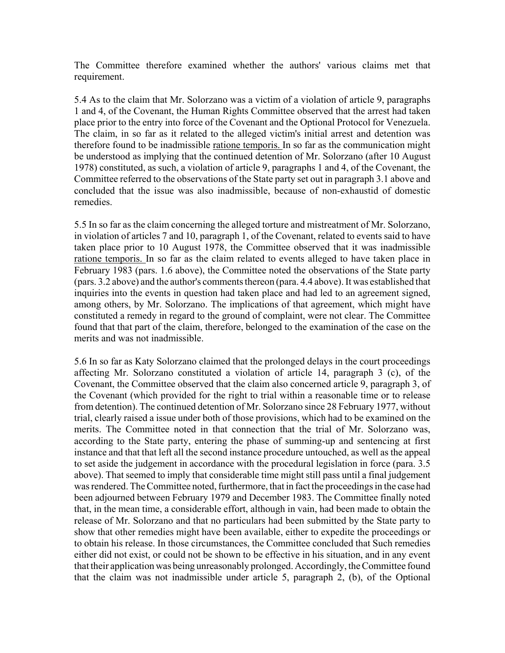The Committee therefore examined whether the authors' various claims met that requirement.

5.4 As to the claim that Mr. Solorzano was a victim of a violation of article 9, paragraphs 1 and 4, of the Covenant, the Human Rights Committee observed that the arrest had taken place prior to the entry into force of the Covenant and the Optional Protocol for Venezuela. The claim, in so far as it related to the alleged victim's initial arrest and detention was therefore found to be inadmissible ratione temporis. In so far as the communication might be understood as implying that the continued detention of Mr. Solorzano (after 10 August 1978) constituted, as such, a violation of article 9, paragraphs 1 and 4, of the Covenant, the Committee referred to the observations of the State party set out in paragraph 3.1 above and concluded that the issue was also inadmissible, because of non-exhaustid of domestic remedies.

5.5 In so far as the claim concerning the alleged torture and mistreatment of Mr. Solorzano, in violation of articles 7 and 10, paragraph 1, of the Covenant, related to events said to have taken place prior to 10 August 1978, the Committee observed that it was inadmissible ratione temporis. In so far as the claim related to events alleged to have taken place in February 1983 (pars. 1.6 above), the Committee noted the observations of the State party (pars. 3.2 above) and the author's comments thereon (para. 4.4 above). It was established that inquiries into the events in question had taken place and had led to an agreement signed, among others, by Mr. Solorzano. The implications of that agreement, which might have constituted a remedy in regard to the ground of complaint, were not clear. The Committee found that that part of the claim, therefore, belonged to the examination of the case on the merits and was not inadmissible.

5.6 In so far as Katy Solorzano claimed that the prolonged delays in the court proceedings affecting Mr. Solorzano constituted a violation of article 14, paragraph 3 (c), of the Covenant, the Committee observed that the claim also concerned article 9, paragraph 3, of the Covenant (which provided for the right to trial within a reasonable time or to release from detention). The continued detention of Mr. Solorzano since 28 February 1977, without trial, clearly raised a issue under both of those provisions, which had to be examined on the merits. The Committee noted in that connection that the trial of Mr. Solorzano was, according to the State party, entering the phase of summing-up and sentencing at first instance and that that left all the second instance procedure untouched, as well as the appeal to set aside the judgement in accordance with the procedural legislation in force (para. 3.5 above). That seemed to imply that considerable time might still pass until a final judgement was rendered. The Committee noted, furthermore, that in fact the proceedings in the case had been adjourned between February 1979 and December 1983. The Committee finally noted that, in the mean time, a considerable effort, although in vain, had been made to obtain the release of Mr. Solorzano and that no particulars had been submitted by the State party to show that other remedies might have been available, either to expedite the proceedings or to obtain his release. In those circumstances, the Committee concluded that Such remedies either did not exist, or could not be shown to be effective in his situation, and in any event that their application was being unreasonably prolonged. Accordingly, the Committee found that the claim was not inadmissible under article 5, paragraph 2, (b), of the Optional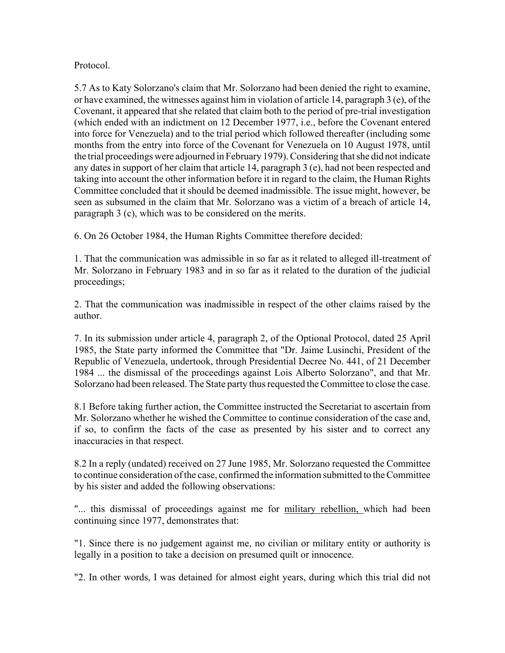## Protocol.

5.7 As to Katy Solorzano's claim that Mr. Solorzano had been denied the right to examine, or have examined, the witnesses against him in violation of article 14, paragraph 3 (e), of the Covenant, it appeared that she related that claim both to the period of pre-trial investigation (which ended with an indictment on 12 December 1977, i.e., before the Covenant entered into force for Venezuela) and to the trial period which followed thereafter (including some months from the entry into force of the Covenant for Venezuela on 10 August 1978, until the trial proceedings were adjourned in February 1979). Considering that she did not indicate any dates in support of her claim that article 14, paragraph 3 (e), had not been respected and taking into account the other information before it in regard to the claim, the Human Rights Committee concluded that it should be deemed inadmissible. The issue might, however, be seen as subsumed in the claim that Mr. Solorzano was a victim of a breach of article 14, paragraph 3 (c), which was to be considered on the merits.

6. On 26 October 1984, the Human Rights Committee therefore decided:

1. That the communication was admissible in so far as it related to alleged ill-treatment of Mr. Solorzano in February 1983 and in so far as it related to the duration of the judicial proceedings;

2. That the communication was inadmissible in respect of the other claims raised by the author.

7. In its submission under article 4, paragraph 2, of the Optional Protocol, dated 25 April 1985, the State party informed the Committee that "Dr. Jaime Lusinchi, President of the Republic of Venezuela, undertook, through Presidential Decree No. 441, of 21 December 1984 ... the dismissal of the proceedings against Lois Alberto Solorzano", and that Mr. Solorzano had been released. The State party thus requested the Committee to close the case.

8.1 Before taking further action, the Committee instructed the Secretariat to ascertain from Mr. Solorzano whether he wished the Committee to continue consideration of the case and, if so, to confirm the facts of the case as presented by his sister and to correct any inaccuracies in that respect.

8.2 In a reply (undated) received on 27 June 1985, Mr. Solorzano requested the Committee to continue consideration of the case, confirmed the information submitted to the Committee by his sister and added the following observations:

"... this dismissal of proceedings against me for military rebellion, which had been continuing since 1977, demonstrates that:

"1. Since there is no judgement against me, no civilian or military entity or authority is legally in a position to take a decision on presumed quilt or innocence.

"2. In other words, I was detained for almost eight years, during which this trial did not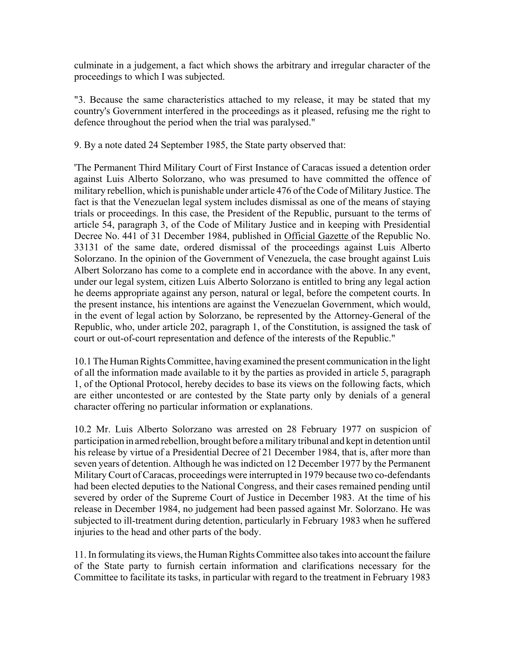culminate in a judgement, a fact which shows the arbitrary and irregular character of the proceedings to which I was subjected.

"3. Because the same characteristics attached to my release, it may be stated that my country's Government interfered in the proceedings as it pleased, refusing me the right to defence throughout the period when the trial was paralysed."

9. By a note dated 24 September 1985, the State party observed that:

'The Permanent Third Military Court of First Instance of Caracas issued a detention order against Luis Alberto Solorzano, who was presumed to have committed the offence of military rebellion, which is punishable under article 476 of the Code of Military Justice. The fact is that the Venezuelan legal system includes dismissal as one of the means of staying trials or proceedings. In this case, the President of the Republic, pursuant to the terms of article 54, paragraph 3, of the Code of Military Justice and in keeping with Presidential Decree No. 441 of 31 December 1984, published in Official Gazette of the Republic No. 33131 of the same date, ordered dismissal of the proceedings against Luis Alberto Solorzano. In the opinion of the Government of Venezuela, the case brought against Luis Albert Solorzano has come to a complete end in accordance with the above. In any event, under our legal system, citizen Luis Alberto Solorzano is entitled to bring any legal action he deems appropriate against any person, natural or legal, before the competent courts. In the present instance, his intentions are against the Venezuelan Government, which would, in the event of legal action by Solorzano, be represented by the Attorney-General of the Republic, who, under article 202, paragraph 1, of the Constitution, is assigned the task of court or out-of-court representation and defence of the interests of the Republic."

10.1 The Human Rights Committee, having examined the present communication in the light of all the information made available to it by the parties as provided in article 5, paragraph 1, of the Optional Protocol, hereby decides to base its views on the following facts, which are either uncontested or are contested by the State party only by denials of a general character offering no particular information or explanations.

10.2 Mr. Luis Alberto Solorzano was arrested on 28 February 1977 on suspicion of participation in armed rebellion, brought before a military tribunal and kept in detention until his release by virtue of a Presidential Decree of 21 December 1984, that is, after more than seven years of detention. Although he was indicted on 12 December 1977 by the Permanent Military Court of Caracas, proceedings were interrupted in 1979 because two co-defendants had been elected deputies to the National Congress, and their cases remained pending until severed by order of the Supreme Court of Justice in December 1983. At the time of his release in December 1984, no judgement had been passed against Mr. Solorzano. He was subjected to ill-treatment during detention, particularly in February 1983 when he suffered injuries to the head and other parts of the body.

11. In formulating its views, the Human Rights Committee also takes into account the failure of the State party to furnish certain information and clarifications necessary for the Committee to facilitate its tasks, in particular with regard to the treatment in February 1983